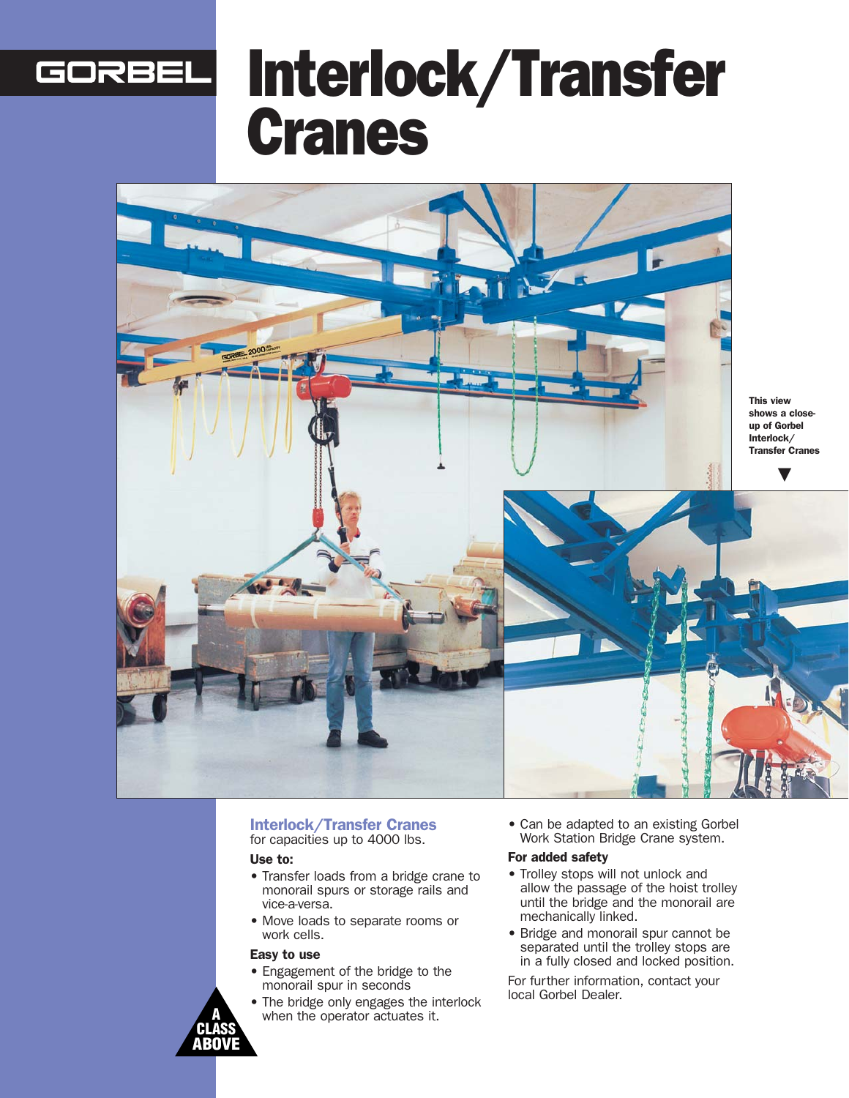# Interlock/Transfer GORBEL Cranes



#### Interlock/Transfer Cranes for capacities up to 4000 lbs.

#### Use to:

- Transfer loads from a bridge crane to monorail spurs or storage rails and vice-a-versa.
- Move loads to separate rooms or work cells.

#### Easy to use

- Engagement of the bridge to the monorail spur in seconds
- The bridge only engages the interlock when the operator actuates it.

• Can be adapted to an existing Gorbel Work Station Bridge Crane system.

#### For added safety

- Trolley stops will not unlock and allow the passage of the hoist trolley until the bridge and the monorail are mechanically linked.
- Bridge and monorail spur cannot be separated until the trolley stops are in a fully closed and locked position.

For further information, contact your local Gorbel Dealer.